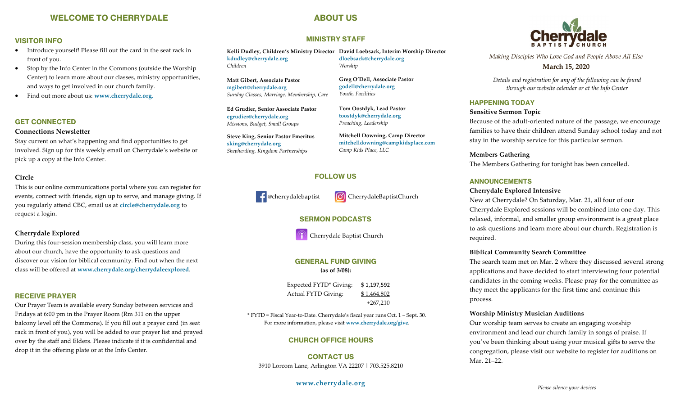# **WELCOME TO CHERRYDALE**

# **ABOUT US**

**MINISTRY STAFF**

## **VISITOR INFO**

- Introduce yourself! Please fill out the card in the seat rack in front of you.
- Stop by the Info Center in the Commons (outside the Worship Center) to learn more about our classes, ministry opportunities, and ways to get involved in our church family.
- Find out more about us: **www.cherrydale.org.**

## **GET CONNECTED**

#### **Connections Newsletter**

Stay current on what's happening and find opportunities to get involved. Sign up for this weekly email on Cherrydale's website or pick up a copy at the Info Center.

## **Circle**

This is our online communications portal where you can register for events, connect with friends, sign up to serve, and manage giving. If you regularly attend CBC, email us at **circle@cherrydale.org** to request a login.

## **Cherrydale Explored**

During this four-session membership class, you will learn more about our church, have the opportunity to ask questions and discover our vision for biblical community. Find out when the next class will be offered at **[www.cherrydale.org/cherrydaleexplored](http://www.cherrydale.org/cherrydaleexplored)**.

### **RECEIVE PRAYER**

Our Prayer Team is available every Sunday between services and Fridays at 6:00 pm in the Prayer Room (Rm 311 on the upper balcony level off the Commons). If you fill out a prayer card (in seat rack in front of you), you will be added to our prayer list and prayed over by the staff and Elders. Please indicate if it is confidential and drop it in the offering plate or at the Info Center.

**Kelli Dudley, Children's Ministry Director David Loebsack, Interim Worship Director kdudley@cherrydale.org** *Children* **dloebsack@cherrydale.org** *Worship*

**Matt Gibert, Associate Pastor mgibert@cherrydale.org** *Sunday Classes, Marriage, Membership, Care*

**Ed Grudier, Senior Associate Pastor egrudier@cherrydale.org** *Missions, Budget, Small Groups*

**Steve King, Senior Pastor Emeritus sking@cherrydale.org** *Shepherding, Kingdom Partnerships*

**Greg O'Dell, Associate Pastor godell@cherrydale.org** *Youth, Facilities*

**Tom Oostdyk, Lead Pastor toostdyk@cherrydale.org** *Preaching, Leadership*

**Mitchell Downing, Camp Director mitchelldowning@campkidsplace.com** *Camp Kids Place, LLC* 

## **FOLLOW US**

Coherrydalebaptist ColebarydaleBaptistChurch

## **SERMON PODCASTS**

I

**Cherrydale Baptist Church** 

# **GENERAL FUND GIVING**

**(as of 3/08):**

Expected FYTD\* Giving: \$ 1,197,592 Actual FYTD Giving: \$1,464,802 +267,210

\* FYTD = Fiscal Year-to-Date. Cherrydale's fiscal year runs Oct. 1 – Sept. 30. For more information, please visit **www.cherrydale.org/give**.

### **CHURCH OFFICE HOURS**

**CONTACT US** 3910 Lorcom Lane, Arlington VA 22207 | 703.525.8210

**www.cherrydale.org** 



*Making Disciples Who Love God and People Above All Else* **March 15, 2020**

*Details and registration for any of the following can be found through our website calendar or at the Info Center* 

## **HAPPENING TODAY**

**Sensitive Sermon Topic**

Because of the adult-oriented nature of the passage, we encourage families to have their children attend Sunday school today and not stay in the worship service for this particular sermon.

#### **Members Gathering**

The Members Gathering for tonight has been cancelled.

### **ANNOUNCEMENTS**

#### **Cherrydale Explored Intensive**

New at Cherrydale? On Saturday, Mar. 21, all four of our Cherrydale Explored sessions will be combined into one day. This relaxed, informal, and smaller group environment is a great place to ask questions and learn more about our church. Registration is required.

#### **Biblical Community Search Committee**

The search team met on Mar. 2 where they discussed several strong applications and have decided to start interviewing four potential candidates in the coming weeks. Please pray for the committee as they meet the applicants for the first time and continue this process.

#### **Worship Ministry Musician Auditions**

Our worship team serves to create an engaging worship environment and lead our church family in songs of praise. If you've been thinking about using your musical gifts to serve the congregation, please visit our website to register for auditions on Mar. 21–22.